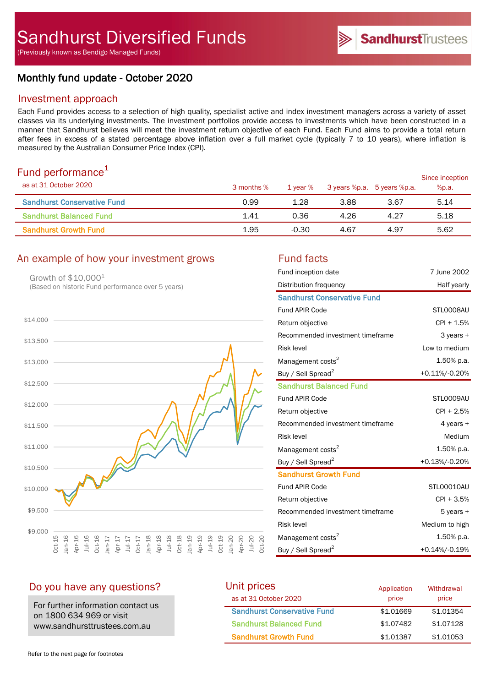# Monthly fund update - October 2020

## Investment approach

Each Fund provides access to a selection of high quality, specialist active and index investment managers across a variety of asset classes via its underlying investments. The investment portfolios provide access to investments which have been constructed in a manner that Sandhurst believes will meet the investment return objective of each Fund. Each Fund aims to provide a total return after fees in excess of a stated percentage above inflation over a full market cycle (typically 7 to 10 years), where inflation is measured by the Australian Consumer Price Index (CPI).

# Fund performance $1$

| $\sim$ $\sim$ $\sim$ $\sim$ $\sim$ $\sim$ $\sim$ $\sim$<br>as at 31 October 2020 | 3 months % | 1 vear % |      | 3 years %p.a. 5 years %p.a. | Since inception<br>%p.a. |
|----------------------------------------------------------------------------------|------------|----------|------|-----------------------------|--------------------------|
| <b>Sandhurst Conservative Fund</b>                                               | 0.99       | 1.28     | 3.88 | 3.67                        | 5.14                     |
| <b>Sandhurst Balanced Fund</b>                                                   | 1.41       | 0.36     | 4.26 | 4.27                        | 5.18                     |
| <b>Sandhurst Growth Fund</b>                                                     | 1.95       | $-0.30$  | 4.67 | 4.97                        | 5.62                     |

## An example of how your investment grows Fund facts

Growth of \$10,0001 (Based on historic Fund performance over 5 years)



| Fund inception date                | 7 June 2002    |
|------------------------------------|----------------|
| Distribution frequency             | Half yearly    |
| <b>Sandhurst Conservative Fund</b> |                |
| <b>Fund APIR Code</b>              | STLO008AU      |
| Return objective                   | $CPI + 1.5%$   |
| Recommended investment timeframe   | 3 years +      |
| <b>Risk level</b>                  | Low to medium  |
| Management costs <sup>2</sup>      | 1.50% p.a.     |
| Buy / Sell Spread <sup>2</sup>     | +0.11%/-0.20%  |
| <b>Sandhurst Balanced Fund</b>     |                |
| <b>Fund APIR Code</b>              | STL0009AU      |
| Return objective                   | $CPI + 2.5%$   |
| Recommended investment timeframe   | 4 years $+$    |
| <b>Risk level</b>                  | Medium         |
| Management costs <sup>2</sup>      | 1.50% p.a.     |
| Buy / Sell Spread <sup>2</sup>     | +0.13%/-0.20%  |
| <b>Sandhurst Growth Fund</b>       |                |
| <b>Fund APIR Code</b>              | STL00010AU     |
| Return objective                   | $CPI + 3.5%$   |
| Recommended investment timeframe   | $5$ years $+$  |
| <b>Risk level</b>                  | Medium to high |
| Management costs <sup>2</sup>      | 1.50% p.a.     |
| Buy / Sell Spread <sup>2</sup>     | +0.14%/-0.19%  |

**Sandhurst**Trustees

# Do you have any questions?

For further information contact us on 1800 634 969 or visit www.sandhursttrustees.com.au

| Unit prices                        | Application | Withdrawal |
|------------------------------------|-------------|------------|
| as at 31 October 2020              | price       | price      |
| <b>Sandhurst Conservative Fund</b> | \$1,01669   | \$1.01354  |
| <b>Sandhurst Balanced Fund</b>     | \$1,07482   | \$1,07128  |
| <b>Sandhurst Growth Fund</b>       | \$1,01387   | \$1,01053  |